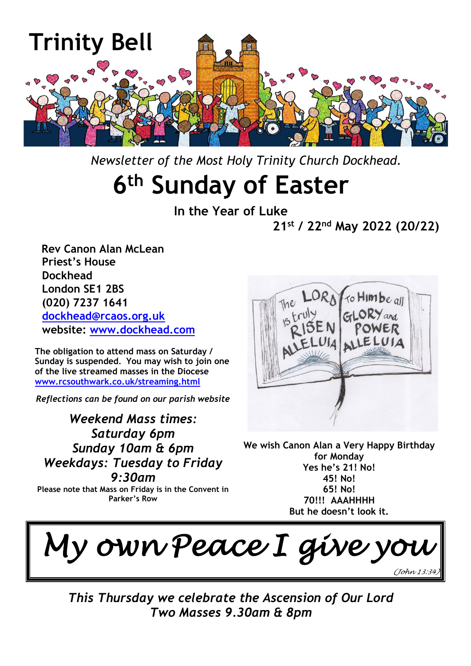

 *Newsletter of the Most Holy Trinity Church Dockhead.*

# **6 th Sunday of Easter**

**In the Year of Luke 21st / 22nd May 2022 (20/22)**

 **Rev Canon Alan McLean Priest's House Dockhead London SE1 2BS (020) 7237 1641 [dockhead@rcaos.org.uk](mailto:dockhead@rcaos.org.uk) website: [www.dockhead.com](http://www.dockhead.com/)**

**The obligation to attend mass on Saturday / Sunday is suspended. You may wish to join one of the live streamed masses in the Diocese [www.rcsouthwark.co.uk/streaming.html](http://www.rcsouthwark.co.uk/streaming.html)**

*Reflections can be found on our parish website*

*Weekend Mass times: Saturday 6pm Sunday 10am & 6pm Weekdays: Tuesday to Friday 9:30am*

**Please note that Mass on Friday is in the Convent in Parker's Row**



**We wish Canon Alan a Very Happy Birthday for Monday Yes he's 21! No! 45! No! 65! No! 70!!! AAAHHHH But he doesn't look it.**

*My own Peace I give you (John 13:34)*

*This Thursday we celebrate the Ascension of Our Lord Two Masses 9.30am & 8pm*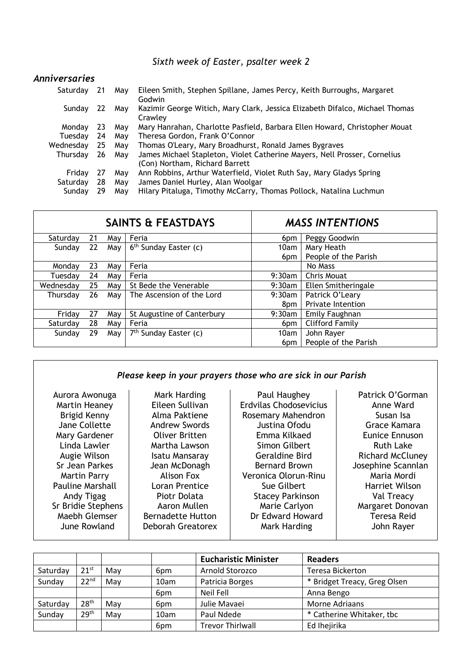#### *Sixth week of Easter, psalter week 2*

| <b>Anniversaries</b> |    |     |                                                                                                             |
|----------------------|----|-----|-------------------------------------------------------------------------------------------------------------|
| Saturday             | 21 | May | Eileen Smith, Stephen Spillane, James Percy, Keith Burroughs, Margaret<br>Godwin                            |
| Sunday               | 22 | May | Kazimir George Witich, Mary Clark, Jessica Elizabeth Difalco, Michael Thomas<br>Crawley                     |
| Monday               | 23 | Mav | Mary Hanrahan, Charlotte Pasfield, Barbara Ellen Howard, Christopher Mouat                                  |
| Tuesday              | 24 | May | Theresa Gordon, Frank O'Connor                                                                              |
| Wednesday            | 25 | Mav | Thomas O'Leary, Mary Broadhurst, Ronald James Bygraves                                                      |
| Thursday             | 26 | May | James Michael Stapleton, Violet Catherine Mayers, Nell Prosser, Cornelius<br>(Con) Northam, Richard Barrett |
| Friday               | 27 | Mav | Ann Robbins, Arthur Waterfield, Violet Ruth Say, Mary Gladys Spring                                         |
| Saturday             | 28 | May | James Daniel Hurley, Alan Woolgar                                                                           |
| Sundav               | 29 | May | Hilary Pitaluga, Timothy McCarry, Thomas Pollock, Natalina Luchmun                                          |

| <b>SAINTS &amp; FEASTDAYS</b> |    |     |                                   | <b>MASS INTENTIONS</b> |                      |  |
|-------------------------------|----|-----|-----------------------------------|------------------------|----------------------|--|
| Saturday                      | 21 | May | Feria                             | 6pm                    | Peggy Goodwin        |  |
| Sunday                        | 22 | May | 6 <sup>th</sup> Sunday Easter (c) | 10am                   | Mary Heath           |  |
|                               |    |     |                                   | 6pm                    | People of the Parish |  |
| Monday                        | 23 | May | Feria                             |                        | No Mass              |  |
| Tuesdav                       | 24 | May | Feria                             | $9:30$ am              | Chris Mouat          |  |
| Wednesday                     | 25 | May | St Bede the Venerable             | $9:30$ am              | Ellen Smitheringale  |  |
| Thursday                      | 26 | Mav | The Ascension of the Lord         | $9:30$ am              | Patrick O'Leary      |  |
|                               |    |     |                                   | 8pm                    | Private Intention    |  |
| Friday                        | 27 | May | St Augustine of Canterbury        | $9:30$ am              | Emily Faughnan       |  |
| Saturdav                      | 28 | May | Feria                             | 6pm                    | Clifford Family      |  |
| Sunday                        | 29 | May | 7 <sup>th</sup> Sunday Easter (c) | 10am                   | John Rayer           |  |
|                               |    |     |                                   | 6pm                    | People of the Parish |  |

#### *Please keep in your prayers those who are sick in our Parish*

| Aurora Awonuga<br>Martin Heaney<br>Brigid Kenny<br>Jane Collette<br>Mary Gardener<br>Linda Lawler<br>Augie Wilson<br>Sr Jean Parkes<br><b>Martin Parry</b><br><b>Pauline Marshall</b><br>Andy Tigag<br>Sr Bridie Stephens<br>Maebh Glemser | Mark Harding<br>Eileen Sullivan<br>Alma Paktiene<br><b>Andrew Swords</b><br><b>Oliver Britten</b><br>Martha Lawson<br>Isatu Mansaray<br>Jean McDonagh<br>Alison Fox<br>Loran Prentice<br>Piotr Dolata<br>Aaron Mullen<br><b>Bernadette Hutton</b> | Paul Haughey<br>Erdvilas Chodosevicius<br>Rosemary Mahendron<br>Justina Ofodu<br>Emma Kilkaed<br>Simon Gilbert<br><b>Geraldine Bird</b><br><b>Bernard Brown</b><br>Veronica Olorun-Rinu<br>Sue Gilbert<br><b>Stacey Parkinson</b><br>Marie Carlyon<br>Dr Edward Howard | Patrick O'Gorman<br>Anne Ward<br>Susan Isa<br>Grace Kamara<br><b>Eunice Ennuson</b><br><b>Ruth Lake</b><br><b>Richard McCluney</b><br>Josephine Scannlan<br>Maria Mordi<br>Harriet Wilson<br>Val Treacy<br>Margaret Donovan<br><b>Teresa Reid</b> |
|--------------------------------------------------------------------------------------------------------------------------------------------------------------------------------------------------------------------------------------------|---------------------------------------------------------------------------------------------------------------------------------------------------------------------------------------------------------------------------------------------------|------------------------------------------------------------------------------------------------------------------------------------------------------------------------------------------------------------------------------------------------------------------------|---------------------------------------------------------------------------------------------------------------------------------------------------------------------------------------------------------------------------------------------------|
|                                                                                                                                                                                                                                            | Deborah Greatorex                                                                                                                                                                                                                                 |                                                                                                                                                                                                                                                                        |                                                                                                                                                                                                                                                   |
| June Rowland                                                                                                                                                                                                                               |                                                                                                                                                                                                                                                   | Mark Harding                                                                                                                                                                                                                                                           | John Rayer                                                                                                                                                                                                                                        |
|                                                                                                                                                                                                                                            |                                                                                                                                                                                                                                                   |                                                                                                                                                                                                                                                                        |                                                                                                                                                                                                                                                   |

|          |                  |     |                 | <b>Eucharistic Minister</b> | <b>Readers</b>               |
|----------|------------------|-----|-----------------|-----------------------------|------------------------------|
| Saturday | $21^{st}$        | May | 6 <sub>pm</sub> | Arnold Storozco             | Teresa Bickerton             |
| Sunday   | 22 <sup>nd</sup> | May | 10am            | Patricia Borges             | * Bridget Treacy, Greg Olsen |
|          |                  |     | 6 <sub>pm</sub> | Neil Fell                   | Anna Bengo                   |
| Saturday | 28 <sup>th</sup> | May | 6 <sub>pm</sub> | Julie Mavaei                | Morne Adriaans               |
| Sunday   | 29 <sup>th</sup> | May | 10am            | Paul Ndede                  | * Catherine Whitaker, tbc    |
|          |                  |     | 6 <sub>pm</sub> | <b>Trevor Thirlwall</b>     | Ed Ihejirika                 |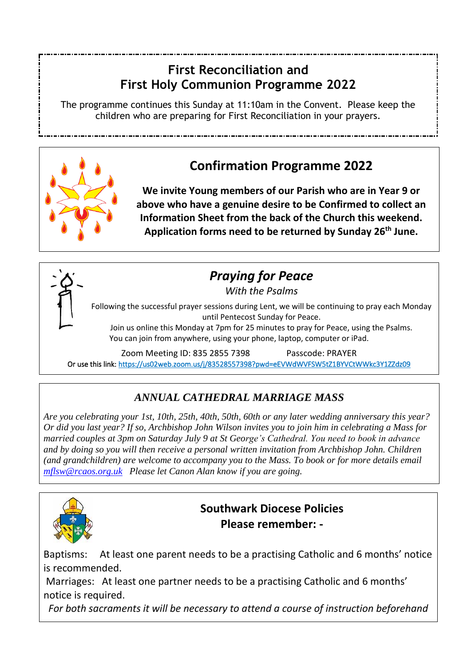#### **First Reconciliation and First Holy Communion Programme 2022**

The programme continues this Sunday at 11:10am in the Convent. Please keep the children who are preparing for First Reconciliation in your prayers.



## **Confirmation Programme 2022**

**We invite Young members of our Parish who are in Year 9 or above who have a genuine desire to be Confirmed to collect an Information Sheet from the back of the Church this weekend. Application forms need to be returned by Sunday 26th June.**



## *Praying for Peace*

*With the Psalms*

Following the successful prayer sessions during Lent, we will be continuing to pray each Monday until Pentecost Sunday for Peace.

Join us online this Monday at 7pm for 25 minutes to pray for Peace, using the Psalms. You can join from anywhere, using your phone, laptop, computer or iPad.

Zoom Meeting ID: 835 2855 7398 Passcode: PRAYER Or use this link[: https://us02web.zoom.us/j/83528557398?pwd=eEVWdWVFSW5tZ1BYVCtWWkc3Y1ZZdz09](https://us02web.zoom.us/j/83528557398?pwd=eEVWdWVFSW5tZ1BYVCtWWkc3Y1ZZdz09) 

## *ANNUAL CATHEDRAL MARRIAGE MASS*

*Are you celebrating your 1st, 10th, 25th, 40th, 50th, 60th or any later wedding anniversary this year? Or did you last year? If so, Archbishop John Wilson invites you to join him in celebrating a Mass for married couples at 3pm on Saturday July 9 at St George's Cathedral. You need to book in advance and by doing so you will then receive a personal written invitation from Archbishop John. Children (and grandchildren) are welcome to accompany you to the Mass. To book or for more details email [mflsw@rcaos.org.uk](mailto:mflsw@rcaos.org.uk) Please let Canon Alan know if you are going.*



## **Southwark Diocese Policies Please remember: -**

Baptisms: At least one parent needs to be a practising Catholic and 6 months' notice is recommended.

Marriages: At least one partner needs to be a practising Catholic and 6 months' notice is required.

*For both sacraments it will be necessary to attend a course of instruction beforehand*